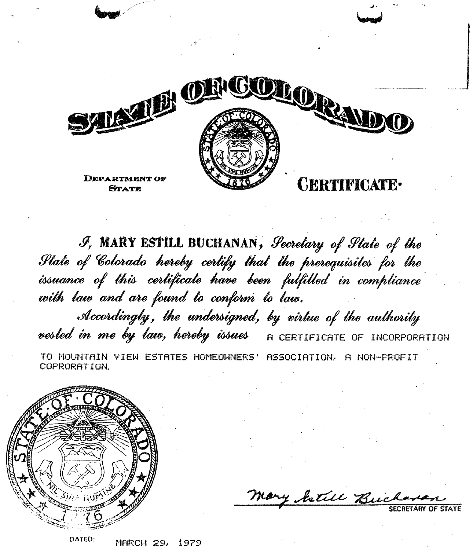

J, MARY ESTILL BUCHANAN, Secretary of State of the State of Colorado hereby certify that the prerequisites for the issuance of this certificate have been fulfilled in compliance with law and are found to conform to law. Accordingly, the undersigned, by virtue of the authority vested in me by law, hereby issues A CERTIFICATE OF INCORPORATION TO MOUNTAIN VIEW ESTATES HOMEOWNERS' ASSOCIATION, A NON-FROFIT COPRORATION.



Mary Jetill Buc

MARCH 29, 1979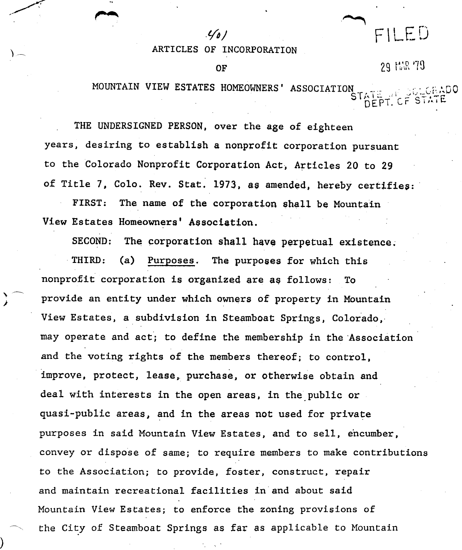ARTICLES OF INCORPORATION

OF

 $\mathcal{L}(n)$ 

29 陆保 79

 $F | LED$ 

MOUNTAIN VIEW ESTATES HOMEOWNERS' ASSOCIATION

THE UNDERSIGNED PERSON, over the age of eighteen years, desiring to establish a nonprofit corporation pursuant to the Colorado Nonprofit Corporation Act, Articles 20 to 29 of Title 7. Colo. Rev. Stat. 1973, as amended, hereby certifies:

FIRST: The name of the corporation shall be Mountain View Estates Homeowners' Association.

SECOND: The corporation shall have perpetual existence.

THIRD: (a) Purposes. The purposes for which this nonprofit corporation is organized are as follows: To provide an entity under which owners of property in Mountain View Estates, a subdivision in Steamboat Springs, Colorado, may operate and act'; to define the membership in the 'Association and the voting rights of the members thereof; to control, improve, protect, lease, purchase, or otherwise obtain and deal with interests in the open areas, in the public or quasi-public areas, and in the areas not used for private purposes in said Mountain View Estates, and to sell, encumber, convey or dispose of same; to require members to make contributions to the Association; to provide, foster, construct, repair and maintain recreational facilities in and about said Mountain View Estates; to enforce the zoning provisions of the City of Steamboat Springs as far as applicable to Mountain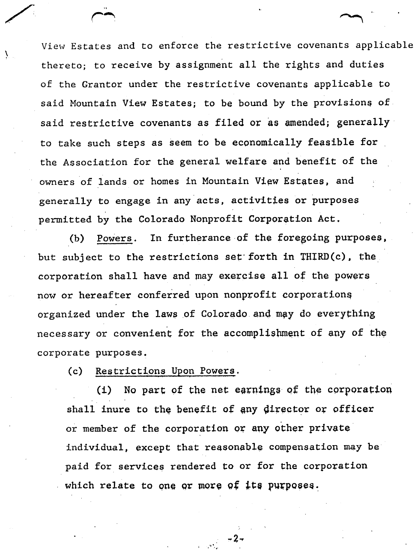View Estates and to enforce the restrictive covenants applicable thereto; to receive by assignment all the rights and duties of the Grantor under the restrictive covenants applicable to said Mountain View Estates; to be bound by the provisions of said restrictive covenants as filed or as amended; generally to take such steps as seem to be economically feasible for the Association for the general welfare and benefit of the owners of lands or homes in Mountain View Estates, and generally to engage in any'acts, activities or purposes permitted by the Colorado Nonprofit Corporation Act.

(b) Powers. In furtherance of the foregoing purposes, but subject to the restrictions set forth in THIRD(c), the corporation shall have and may exercise all of the powers now or hereafter conferred upon nonprofit corporations organized under the laws of Colorado and may do everything necessary or convenient for the accomplishment of any of the corporate purposes.

(c) Restrictions Upon Powers.

 $(i)$  No part of the net earnings of the corporation shall inure to the benefit of any director or officer or member of the corporation or any other private individual, except that reasonable compensation may be paid for services rendered to or for the corporation which relate to one or more of its purposes.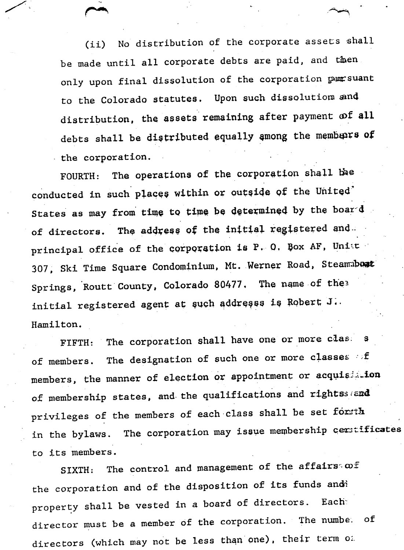(ii) No distribution of the corporate assets shall be made until all corporate debts are paid, and then only upon final dissolution of the corporation pursuant to the Colorado statutes. Upon such dissolution and distribution, the assets remaining after payment of all debts shall be distributed equally among the members of the corporation.

FOURTH: The operations of the corporation shall bee conducted in such places within or outside of the United' States as may from time to time be determined by the board of directors. The address of the initial registered and. principal office of the corporation is P. O. Box AF, Unite 307, Ski Time Square Condominium, Mt. Werner Road, Steampost Springs, Routt County, Colorado 80477. The name of the<sup>3</sup> initial registered agent at such addresss is Robert J.. Hamilton.

FIFTH: The corporation shall have one or more class s of members. The designation of such one or more classes of members, the manner of election or appointment or acquisition of membership states, and the qualifications and rightssiend privileges of the members of each class shall be set formth in the bylaws. The corporation may issue membership ceritificates to its members.

SIXTH: The control and management of the affairs  $\omega$ *f* the corporation and of the disposition of its funds and? property shall be vested in a board of directors. Each director must be a member of the corporation. The numbe. of directors (which may not be less than one), their term of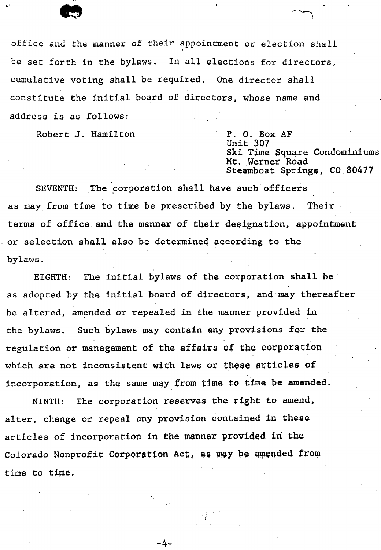

office and the manner of their appointment or election shall be set forth in the bylaws, In all elections for directors, cumulative voting shall be required,' One director shall constitute the initial board of directors, whose name and address is as follows:

Robert J. Hamilton

P,' O. Box AF Unit 307 Ski Time Square Condominiums Mt. Werner Road Steamboat Springs, CO 80477

SEVENTH: The corporation shall have such officers as may, from time to time be prescribed by the bylaws. Their terms of office and the manner of their designation, appointment or selection shall also be determined according to the bylaws.

EIGHTH: The initial bylaws of the corporation shall be' as adopted by the initial board of directors, and may thereafter be altered, amended or repealed in the manner provided in the bylaws. Such bylaws may contain any provisions for the regulation or management of the affairs of the corporation which are not inconsistent with laws or these articles of incorporation, as the same may from time to time be amended.

NINTH: The corporation reserves the right to amend, alter, change or repeal any provision contained in these articles of incorporation in the manner provided in the Colorado Nonprofit Corporation Act, as may be amended from time to time.

-4-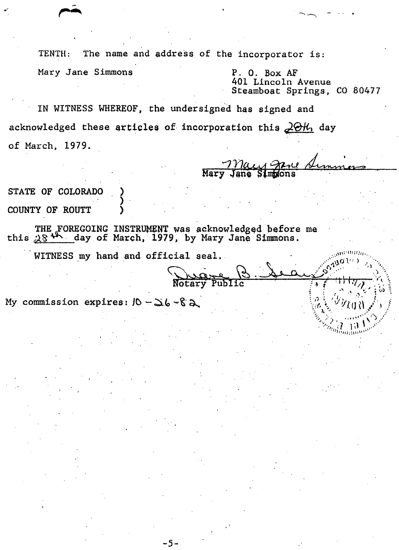The name and address of the incorporator is: TENTH:

Mary Jane Simmons

 $P.$  O. Box AF 401 Lincoln Avenue Steamboat Springs, CO 80477

IN WITNESS WHEREOF, the undersigned has signed and acknowledged these articles of incorporation this 20th day of March, 1979.

STATE OF COLORADO COUNTY OF ROUTT

THE FOREGOING INSTRUMENT was acknowledged before me<br>this  $28^{44}$  day of March, 1979, by Mary Jane Simmons.

WITNESS my hand and official seal.

Notary

My commission expires:  $10 - 36 - 82$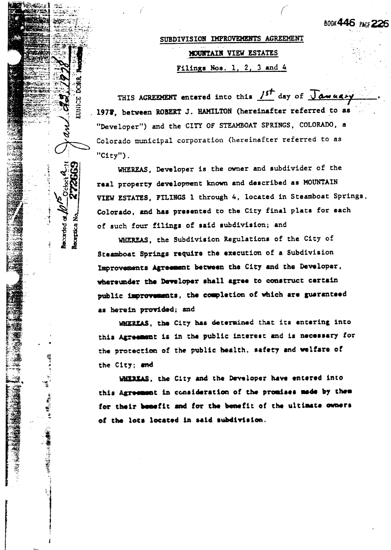**BOOK446** PACS 226

# SUBDIVISION IMPROVEMENTS AGREEMENT MOUNTAIN VIEW ESTATES Filings Nos. 1, 2, 3 and  $4$

THIS AGREEMENT entered into this 1st day of Jawagry 1978, between ROBERT J. HAMILTON (hereinafter referred to as "Developer") and the CITY OF STEAMBOAT SPRINGS, COLORADO, a Colorado municipal corporation (hereinafter referred to as " $C1ty"$ ).

EUNICE

**Recorded** of

嚣

**まま、髪のように、小生の葉をのかっていたのですように** 

WHEREAS, Developer is the owner and subdivider of the real property development known and described as MOUNTAIN VIEW ESTATES, FILINGS 1 through 4, located in Steamboat Springs, Colorado, and has presented to the City final plats for each of such four filings of said subdivision; and

WHEREAS, the Subdivision Regulations of the City of Staamboat Springs require the execution of a Subdivision Improvements Agreement between the City and the Developer, whereunder the Developer shall agree to construct certain public improvements, the completion of which are guarantsed as herein provided; and

WHEREAS, the City has determined that its entering into this Agreement is in the public interest and is necessary for the protection of the public health, safety and welfare of the City; and

WHEREAS, the City and the Developer have entered into this Agreement in consideration of the promises made by them for their benefit and for the benefit of the ultimate owners of the lots located in said subdivision.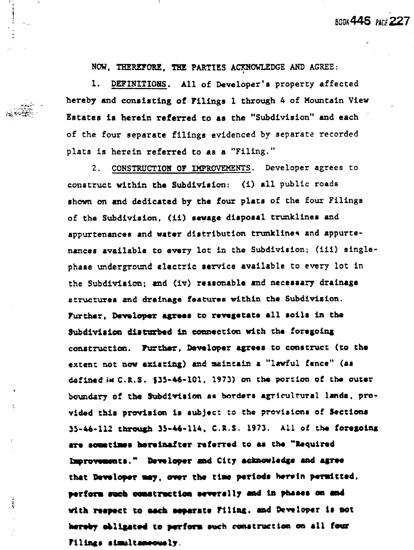NOW. THEREFORE. THE PARTIES ACKNOWLEDGE AND AGREE:

**BOOK 445 PACE 227** 

1. DEFINITIONS. All of Developer's property affected hereby and consisting of Filings 1 through 4 of Mountain View Estates is herein referred to as the "Subdivision" and each of the four separate filings evidenced by separate recorded plats is herein referred to as a "Filing."

2. CONSTRUCTION OF IMPROVEMENTS. Developer agrees to construct within the Subdivision: (i) all public roads shown on and dedicated by the four plats of the four Filings of the Subdivision, (ii) sewage disposal trunklines and appurtenances and water distribution trunklines and appurtenances available to every lot in the Subdivision; (iii) singlephase underground electric service available to every lot in the Subdivision; and (iv) reasonable and necessary drainage structures and drainage features within the Subdivision. Further, Developer agrees to revegetate all soils in the Subdivision disturbed in connection with the foregoing construction. Further, Developer agrees to construct (to the extent not now existing) and maintain a "lawful fence" (as defined im C.R.S. \$35-46-101. 1973) on the portion of the outer boundary of the Subdivision as borders agricultural lands, provided this provision is subject to the provisions of Sections 35-46-112 through 35-46-114, C.R.S. 1973. All of the foregoing are sometimes hereinafter referred to as the "Required Improvements." Developer and City acknowledge and agree that Developer may, over the time periods herein permitted. perform such construction severally and in phases on and with respect to each separate Filing, and Developer is not hereby obligated to perform such construction on all four Filings simultaneously.

ţ.

 $0.014\%$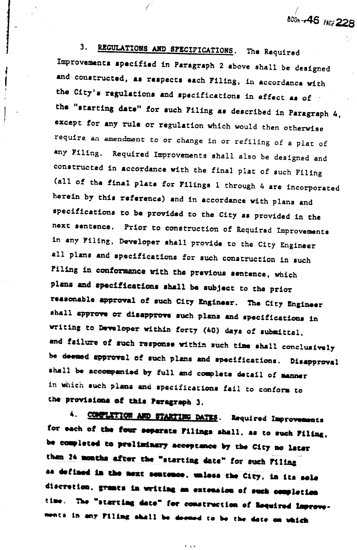REGULATIONS AND SPECIFICATIONS. The Required  $3<sub>1</sub>$ Improvements specified in Paragraph 2 above shall be designed and constructed, as respects each Filing, in accordance with the City's regulations and specifications in effect as of the "starting date" for such Filing as described in Paragraph 4, except for any rule or regulation which would then otherwise require an amendment to or change in or refiling of a plat of any Filing. Required Improvements shall also be designed and constructed in accordance with the final plat of such Filing (all of the final plats for Filings 1 through 4 are incorporated herein by this reference) and in accordance with plans and specifications to be provided to the City as provided in the next sentence. Prior to construction of Requirad Improvements in any Filing, Developer shall provide to the City Engineer all plans and specifications for such construction in such Filing in conformance with the previous sentence, which plans and specifications shall be subject to the prior reasonable approval of such City Engineer. The City Engineer shall approve or disapprove such plans and specifications in writing to Developer within forty (40) days of submittal. and failure of such response within such time shall conclusively be deemed approval of such plans and specifications. Disapproval shall be accompanied by full and complete detail of manner in which such plans and specifications fail to conform to the provisions of this Paragraph 3.

800<sub>h</sub>-46 PAGE 228

CONFILITION AND STARTING DATES. Required Improvements 4. for each of the four separate Filings shall, as to such Filing. be completed to preliminary acceptance by the City no later than 24 months after the "starting date" for such Filing as defined in the next sentence, unless the City, in its sole discretion, grants in writing an extension of such completion time. The "starting date" for construction of Required Improvements in any Filing shall be deemed to be the date on which

 $\mathbf{r} = \mathbf{r} \times \mathbf{r}$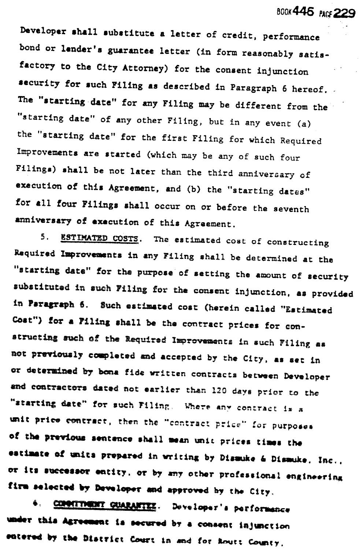Developer shall substitute a letter of credit, performance bond or lender's guarantee letter (in form reasonably satisfactory to the City Attorney) for the consent injunction security for such Filing as described in Paragraph 6 hereof. The "starting date" for any Filing may be different from the "starting date" of any other Filing, but in any event (a) the "starting date" for the first Filing for which Required Improvements are started (which may be any of such four Filings) shall be not later than the third anniversary of execution of this Agreement, and (b) the "starting dates" for all four Filings shall occur on or before the seventh anniversary of execution of this Agreement.

**BOOK446 PACS 229** 

5. ESTIMATED COSTS. The estimated cost of constructing Required Improvements in any Filing shall be determined at the "starting date" for the purpose of setting the amount of security substituted in such Filing for the consent injunction, as provided in Paragraph 6. Such estimated cost (herein called "Estimated Cost") for a Filing shall be the contract prices for constructing such of the Required Improvements in such Filing as not previously completed and accepted by the City, as set in or determined by bona fide written contracts between Developer and contractors dated not earlier than 120 days prior to the "starting date" for such Filing. Where any contract is a unit price contract, then the "contract price" for purposes of the previous sentence shall mean unit prices times the eatimate of units prepared in writing by Dismuke & Dismuke, Inc., or its successor entity, or by any other professional engineering firm selected by Developer and approved by the City.

COMMITMENT GUARANTEE. Developer's performance ♦. under this Agreement is secured by a consent injunction entered by the District Court in and for Routt County.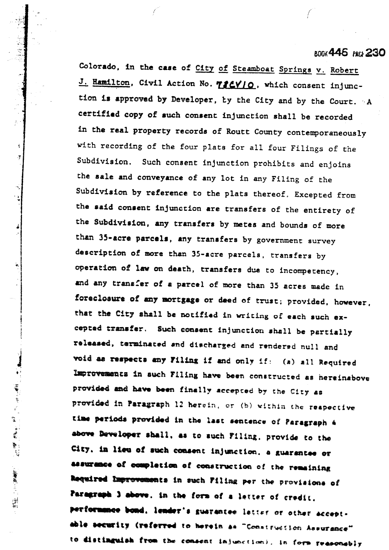#### **BDDX446** PMD 230

Colorado, in the case of City of Steamboat Springs v. Robert J. Hamilton, Civil Action No. 786V10, which consent injunction is approved by Developer, by the City and by the Court. A certified copy of such consent injunction shall be recorded in the real property records of Routt County contemporaneously with recording of the four plats for all four Filings of the Subdivision. Such consent injunction prohibits and enjoins the sale and conveyance of any lot in any Filing of the Subdivision by reference to the plats thereof. Excepted from the said consent injunction are transfers of the entirety of the Subdivision, any transfers by metes and bounds of more than 35-acre parcels, any transfers by government survey description of more than 35-acre parcels, transfers by operation of law on death, transfers due to incompetency, and any transfer of a parcel of more than 35 acres made in foreclosure of any mortgage or deed of trust; provided, however, that the City shall be notified in writing of each such excepted transfer. Such consent injunction shall be partially released, terminated and discharged and rendered null and void as respects any Filing if and only if: (a) all Required Improvements in such Filing have been constructed as hereinabove provided and have been finally accepted by the City as provided in Paragraph 12 herein, or (b) within the respective time periods provided in the last sentence of Paragraph 4 above Developer shall, as to such Filing, provide to the City, in lieu of such consent injunction, a guarantee or assurance of completion of construction of the remaining Required Improvements in such Filing per the provisions of Paragraph 3 above, in the form of a letter of credit. performance bond, lender's guarantee letter or other acceptable security (referred to herein as "Construction Assurance" to distinguish from the consent injunction), in form reasonably

 $\frac{1}{4}$  $\mathbf{y}$ 

ŝ

í,

**【花瓣】 "我们的话,你是我们的话,我们就会不能让你们的。"**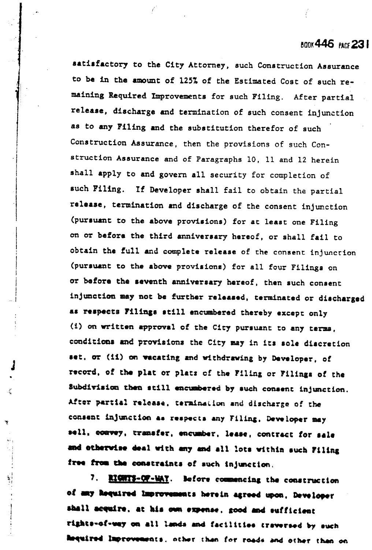### **800X446 PACE 231**

satisfactory to the City Attorney, such Construction Assurance to be in the amount of 125% of the Estimated Cost of such remaining Required Improvements for such Filing. After partial release, discharge and termination of such consent injunction as to any Filing and the substitution therefor of such Construction Assurance, then the provisions of such Construction Assurance and of Paragraphs 10, 11 and 12 herein shall apply to and govern all security for completion of such Filing. If Developer shall fail to obtain the partial release, termination and discharge of the consent injunction (pursuant to the above provisions) for at least one Filing on or befors the third anniversary hereof, or shall fail to obtain the full and complete release of the consent injunction (pursuant to the above provisions) for all four Filings on or before the seventh anniversary hereof, then such consent injunction may not be further released, terminated or discharged as respects Filings still encumbered thereby except only (i) on written approval of the City pursuant to any terms. conditions and provisions the City may in its sole discretion set, or (ii) on vacating and withdrawing by Developer, of record, of the plat or plats of the Filing or Filings of the Subdivision then still encumbered by such consent injunction. After partial release, termination and discharge of the consent injunction as respects any Filing, Developer may sell, convey, transfer, encumber, lease, contract for sale and otherwise deal with any and all lots within such Filing free from the constraints of such injunction.

7. RIGHTS-OF-WAY. Before commencing the construction of any Required Improvements herein agreed upon, Developer shall acquire, at his own expense, good and sufficient rights-of-way on all lands and facilities traversed by such hequired Improvements, other than for roads and other than on

Į

Ã,

Ŧ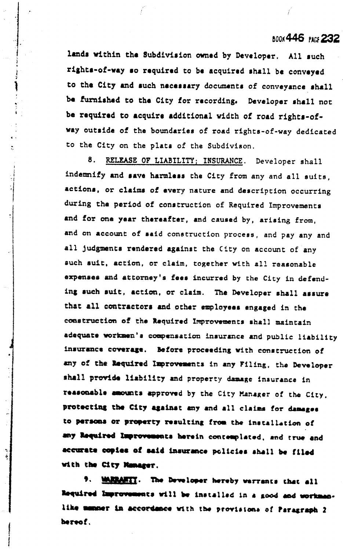#### **BOOK 446 PACE 232**

lands within the Subdivision owned by Developer. All such rights-of-way so required to be acquired shall be conveyed to the City and such necessary documents of conveyance shall be furnished to the City for recording. Developer shall not be required to acquire additional width of road rights-ofway outside of the boundaries of road rights-of-way dedicated to the City on the plats of the Subdivison.

8. RELEASE OF LIABILITY; INSURANCE. Developer shall indemnify and save harmless the City from any and all suits, actions, or claims of every nature and description occurring during the period of construction of Required Improvements and for one year thereafter, and caused by, arising from. and on account of said construction process, and pay any and all judgments rendered against the City on account of any such suit, action, or claim, together with all reasonable expenses and attorney's fees incurred by the City in defending such suit, action, or claim. The Developer shall assure that all contractors and other employees engaged in the construction of the Required Improvements shall maintain adequate workmen's compensation insurance and public liability insurance coverage. Before proceeding with construction of any of the Required Improvements in any Filing, the Developer shall provide liability and property damage insurance in reasonable amounts approved by the City Manager of the City. protecting the City against any and all claims for damages to persons or property resulting from the installation of any Required Improvements herein contemplated, and true and accurate copies of said insurance policies shall be filed with the City Manager.

MARRANTY. The Developer hereby warrants that all Required Improvements will be installed in a good and workmanlike memmer in accordance with the provisions of Paragraph 2 hereof.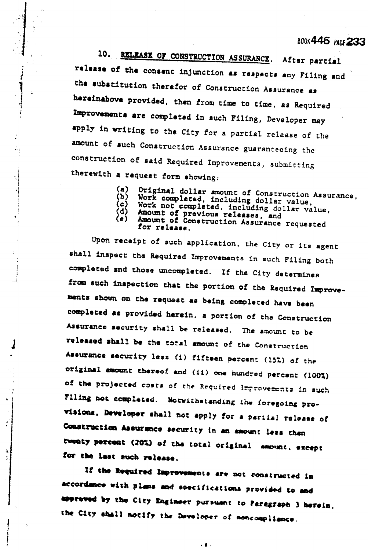## **BOOK446 PACE 233**

10. RELEASE OF CONSTRUCTION ASSURANCE. After partial release of the consent injunction as respects any Filing and the substitution therefor of Construction Assurance as hereinabove provided, then from time to time, as Required Improvements are completed in such Filing, Developer may apply in writing to the City for a partial release of the amount of such Construction Assurance guaranteeing the construction of said Required Improvements, submitting therewith a request form showing:

> Original dollar amount of Construction Assurance,  $(a)$

- Work completed, including dollar value,  $(b)$ (c)
- (d)
- $(e)$

Ž,

Work not completed, including dollar value,<br>Amount of previous releases, and<br>Amount of Construction Assurance requested for release.

Upon receipt of such application, the City or its agent shall inspect the Required Improvements in such Filing both completed and those uncompleted. If the City determines from such inspection that the portion of the Required Improvements shown on the request as being completed have been completed as provided herein, a portion of the Construction Assurance security shall be released. The amount to be released shall be the total amount of the Construction Assurance security less (i) fifteen percent (15%) of the original amount thereof and (11) one hundred percent (100%) of the projected costs of the Required Improvements in such Filing not completed. Notwithstanding the foregoing provisions, Developer shall not apply for a partial release of Construction Assurance security in an amount less than twenty percent (20%) of the total original amount, except for the last such release.

If the Required Improvements are not constructed in accordance with plans and specifications provided to and approved by the City Engineer pursuant to Paragraph 3 herein. the City shall notify the Developer of noncompliance.

. § .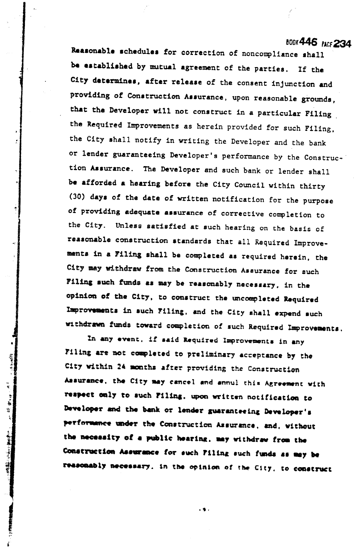## **BOOK446 PACE 234**

Reasonable schedules for correction of noncompliance shall be established by mutual agreement of the parties. If the City determines, after release of the consent injunction and providing of Construction Assurance, upon reasonable grounds, that the Developer will not construct in a particular Filing the Required Improvements as herein provided for such Filing. the City shall notify in writing the Developer and the bank or lender guaranteeing Developer's performance by the Construction Assurance. The Developer and such bank or lender shall be afforded a hearing before the City Council within thirty (30) days of the date of written notification for the purpose of providing adequate assurance of corrective completion to the City. Unless satisfied at such hearing on the basis of reasonable construction standards that all Required Improvements in a Filing shall be completed as required herein, the City may withdraw from the Construction Assurance for such Filing such funds as may be reasonably necessary, in the opinion of the City, to construct the uncompleted Required Improvements in such Filing, and the City shall expend such withdrawn funds toward completion of such Required Improvements.

In any event, if said Required Improvements in any Filing are not completed to preliminary acceptance by the City within 24 months after providing the Construction Assurance, the City may cancel and annul this Agreement with respect only to such Filing, upon written notification to Developer and the bank or lender guaranteeing Developer's performance under the Construction Assurance, and, without the necessity of a public hearing, may withdraw from the Construction Assurance for such Filing such funds as may be reasonably necessary, in the opinion of the City, to construct

ŵ.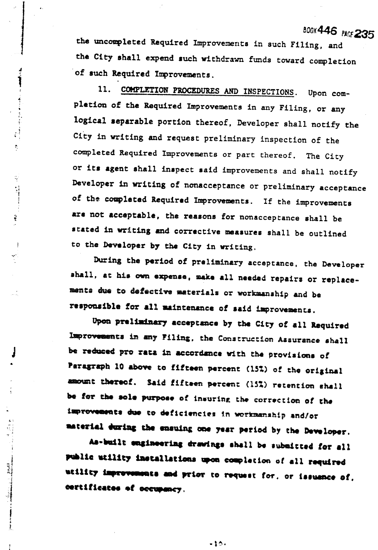BOOK446 PACE 235

the uncompleted Required Improvements in such Filing, and the City shall expend such withdrawn funds toward completion of such Required Improvements.

Ì

医牙足炎 医乳头

 $\frac{1}{4}$ 

 $\overline{\Omega}$ 

 $\tilde{\gamma}$ 

 $\cdot$ 

**External Parts** 

11. COMPLETION PROCEDURES AND INSPECTIONS. Upon completion of the Required Improvements in any Filing, or any logical separable portion thereof, Developer shall notify the City in writing and request preliminary inspection of the completed Required Improvements or part thereof. The City or its agent shall inspect said improvements and shall notify Developer in writing of nonacceptance or preliminary acceptance of the completed Required Improvements. If the improvements are not acceptable, the reasons for nonacceptance shall be stated in writing and corrective measures shall be outlined to the Developer by the City in writing.

During the period of preliminary acceptance, the Developer shall, at his own expense, make all needed repairs or replacements due to defective materials or workmanship and be responsible for all maintenance of said improvements.

Upon preliminary acceptance by the City of all Required Improvements in any Filing, the Construction Assurance shall be reduced pro rata in accordance with the provisions of Paragraph 10 above to fifteen percent (152) of the original amount thereof. Said fifteen percent (15%) retention shall be for the sole purpose of insuring the correction of the improvements due to deficiencies in workmanship and/or material during the ensuing one year period by the Developer.

As-built engineering drawings shall be submitted for all public utility installations upon completion of all required utility improvements and prior to request for, or issuance of, certificates of occupancy.

 $-10-$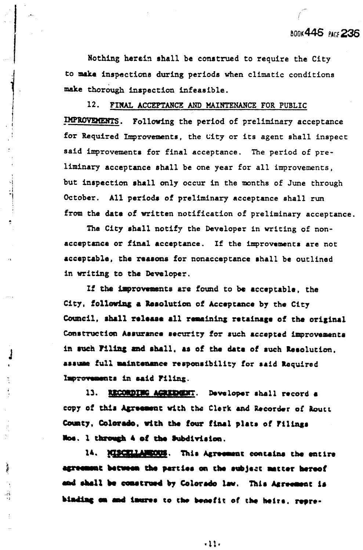Nothing herein shall be construed to require the City to make inspections during periods when climatic conditions make thorough inspection infeasible.

 $12.$ FINAL ACCEPTANCE AND MAINTENANCE FOR PUBLIC IMPROVEMENTS. Following the period of preliminary acceptance for Required Improvements, the City or its agent shall inspect said improvements for final acceptance. The period of preliminary acceptance shall be one year for all improvements, but inspection shall only occur in the months of June through October. All periods of preliminary acceptance shall run from the date of written notification of preliminary acceptance.

|<br>|-<br>|-

è

زم.<br>وي

The City shall notify the Developer in writing of nonacceptance or final acceptance. If the improvements are not acceptable, the reasons for nonacceptance shall be outlined in writing to the Developer.

If the improvements are found to be acceptable, the City, following a Resolution of Acceptance by the City Council, shall release all remaining retainage of the original Construction Assurance security for such accepted improvements in such Filing and shall, as of the date of such Resolution. assume full maintenance responsibility for said Required Improvements in said Filing.

13. RECORDING AGRIDGET. Developer shall record a copy of this Agreement with the Clerk and Recorder of Routt County, Colorado, with the four final plats of Filings Nos. 1 through 4 of the Subdivision.

14. MISCELLANEOUS. This Agreement contains the entire agreement between the parties on the subject matter hereof and shall be construed by Colorado law. This Agreement is binding on and inures to the benefit of the heirs, repre-

 $-11.$